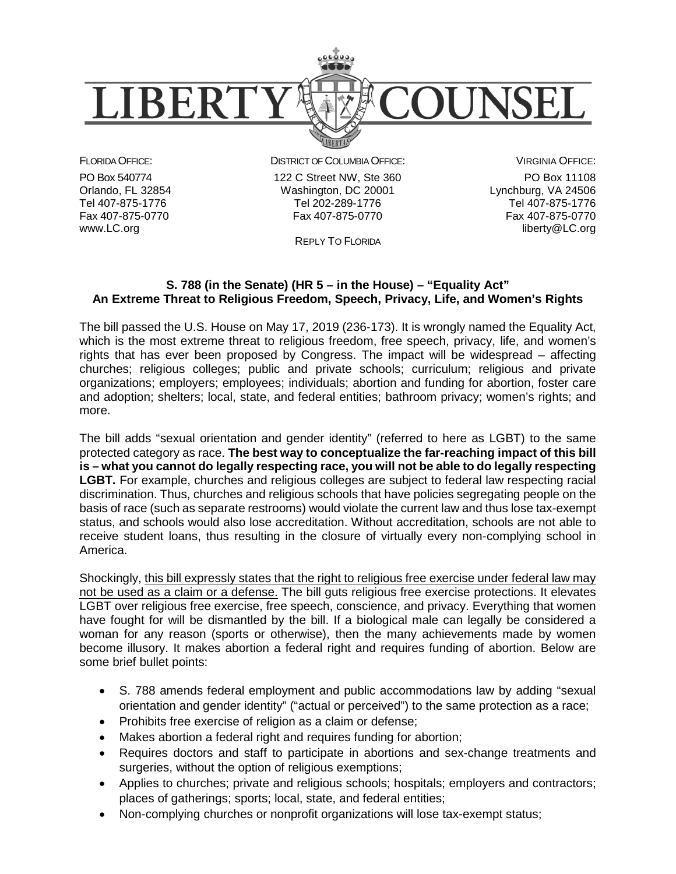

FLORIDA OFFICE:

PO Box 540774 Orlando, FL 32854 Tel 407-875-1776 Fax 407-875-0770 www.LC.org

DISTRICT OF COLUMBIA OFFICE: 122 C Street NW, Ste 360 Washington, DC 20001

> Tel 202-289-1776 Fax 407-875-0770

VIRGINIA OFFICE: PO Box 11108 Lynchburg, VA 24506 Tel 407-875-1776 Fax 407-875-0770 liberty@LC.org

REPLY TO FLORIDA

## **S. 788 (in the Senate) (HR 5 – in the House) – "Equality Act" An Extreme Threat to Religious Freedom, Speech, Privacy, Life, and Women's Rights**

The bill passed the U.S. House on May 17, 2019 (236-173). It is wrongly named the Equality Act, which is the most extreme threat to religious freedom, free speech, privacy, life, and women's rights that has ever been proposed by Congress. The impact will be widespread – affecting churches; religious colleges; public and private schools; curriculum; religious and private organizations; employers; employees; individuals; abortion and funding for abortion, foster care and adoption; shelters; local, state, and federal entities; bathroom privacy; women's rights; and more.

The bill adds "sexual orientation and gender identity" (referred to here as LGBT) to the same protected category as race. **The best way to conceptualize the far-reaching impact of this bill is – what you cannot do legally respecting race, you will not be able to do legally respecting LGBT.** For example, churches and religious colleges are subject to federal law respecting racial discrimination. Thus, churches and religious schools that have policies segregating people on the basis of race (such as separate restrooms) would violate the current law and thus lose tax-exempt status, and schools would also lose accreditation. Without accreditation, schools are not able to receive student loans, thus resulting in the closure of virtually every non-complying school in America.

Shockingly, this bill expressly states that the right to religious free exercise under federal law may not be used as a claim or a defense. The bill guts religious free exercise protections. It elevates LGBT over religious free exercise, free speech, conscience, and privacy. Everything that women have fought for will be dismantled by the bill. If a biological male can legally be considered a woman for any reason (sports or otherwise), then the many achievements made by women become illusory. It makes abortion a federal right and requires funding of abortion. Below are some brief bullet points:

- S. 788 amends federal employment and public accommodations law by adding "sexual orientation and gender identity" ("actual or perceived") to the same protection as a race;
- Prohibits free exercise of religion as a claim or defense;
- Makes abortion a federal right and requires funding for abortion;
- Requires doctors and staff to participate in abortions and sex-change treatments and surgeries, without the option of religious exemptions;
- Applies to churches; private and religious schools; hospitals; employers and contractors; places of gatherings; sports; local, state, and federal entities;
- Non-complying churches or nonprofit organizations will lose tax-exempt status;